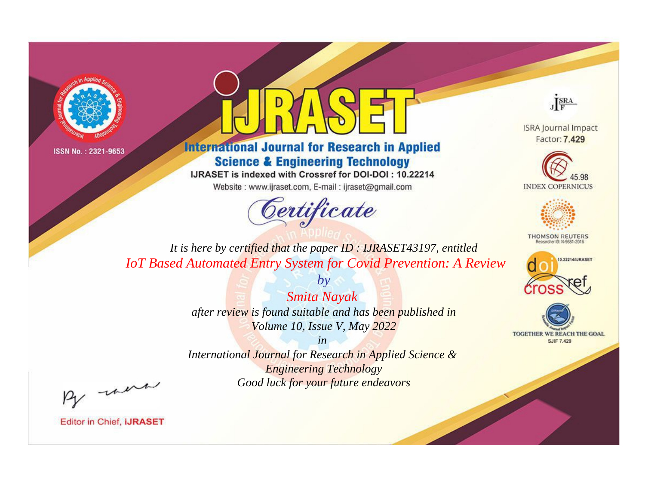



**International Journal for Research in Applied Science & Engineering Technology** 

IJRASET is indexed with Crossref for DOI-DOI: 10.22214

Website: www.ijraset.com, E-mail: ijraset@gmail.com



JERA

**ISRA Journal Impact** Factor: 7.429





**THOMSON REUTERS** 



TOGETHER WE REACH THE GOAL **SJIF 7.429** 

*It is here by certified that the paper ID : IJRASET43197, entitled IoT Based Automated Entry System for Covid Prevention: A Review*

> *Smita Nayak after review is found suitable and has been published in Volume 10, Issue V, May 2022*

*by*

*in* 

*International Journal for Research in Applied Science & Engineering Technology Good luck for your future endeavors*

By morn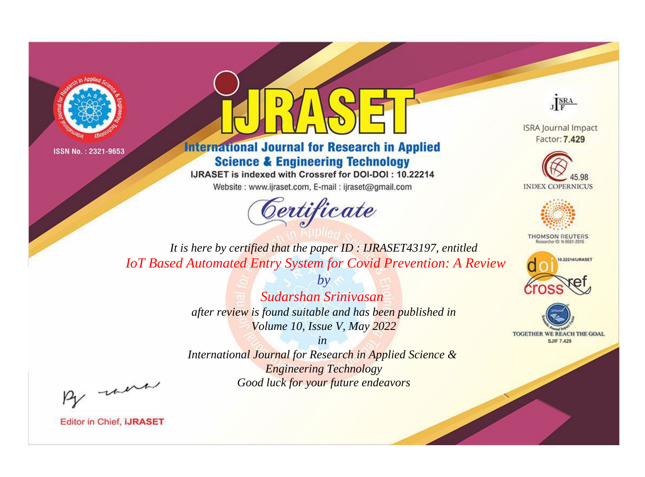



**International Journal for Research in Applied Science & Engineering Technology** 

IJRASET is indexed with Crossref for DOI-DOI: 10.22214

Website: www.ijraset.com, E-mail: ijraset@gmail.com



JERA

**ISRA Journal Impact** Factor: 7.429





**THOMSON REUTERS** 



TOGETHER WE REACH THE GOAL **SJIF 7.429** 

*It is here by certified that the paper ID : IJRASET43197, entitled IoT Based Automated Entry System for Covid Prevention: A Review*

> *Sudarshan Srinivasan after review is found suitable and has been published in Volume 10, Issue V, May 2022*

*by*

*in* 

*International Journal for Research in Applied Science & Engineering Technology Good luck for your future endeavors*

By morn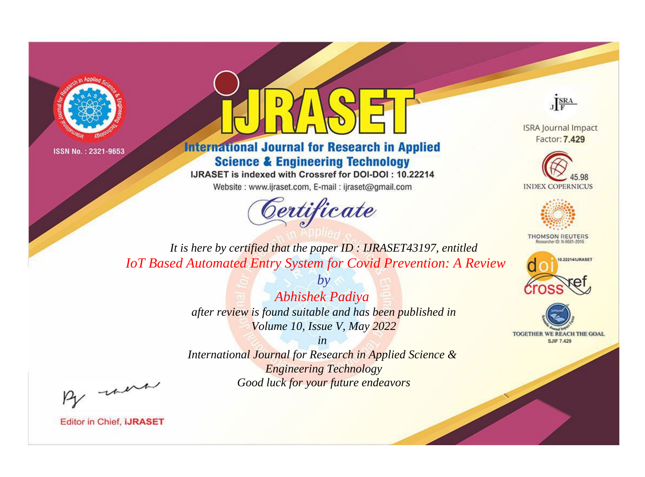



**International Journal for Research in Applied Science & Engineering Technology** 

IJRASET is indexed with Crossref for DOI-DOI: 10.22214

Website: www.ijraset.com, E-mail: ijraset@gmail.com



JERA

**ISRA Journal Impact** Factor: 7.429





**THOMSON REUTERS** 



TOGETHER WE REACH THE GOAL **SJIF 7.429** 

*It is here by certified that the paper ID : IJRASET43197, entitled IoT Based Automated Entry System for Covid Prevention: A Review*

> *Abhishek Padiya after review is found suitable and has been published in Volume 10, Issue V, May 2022*

*by*

*in* 

*International Journal for Research in Applied Science & Engineering Technology Good luck for your future endeavors*

By morn